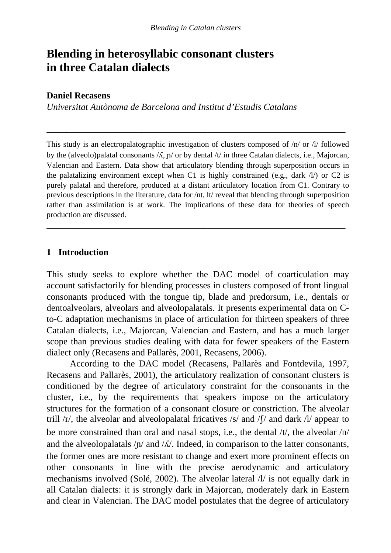# **Blending in heterosyllabic consonant clusters in three Catalan dialects**

#### **Daniel Recasens**

*Universitat Autònoma de Barcelona and Institut d'Estudis Catalans* 

This study is an electropalatographic investigation of clusters composed of /n/ or /l/ followed by the (alveolo)palatal consonants  $/\lambda$ ,  $p/$  or by dental  $/t/$  in three Catalan dialects, i.e., Majorcan, Valencian and Eastern. Data show that articulatory blending through superposition occurs in the palatalizing environment except when C1 is highly constrained (e.g., dark  $\Lambda$ ) or C2 is purely palatal and therefore, produced at a distant articulatory location from C1. Contrary to previous descriptions in the literature, data for /nt, lt/ reveal that blending through superposition rather than assimilation is at work. The implications of these data for theories of speech production are discussed.

**\_\_\_\_\_\_\_\_\_\_\_\_\_\_\_\_\_\_\_\_\_\_\_\_\_\_\_\_\_\_\_\_\_\_\_\_\_\_\_\_\_\_\_\_\_\_\_\_\_\_\_\_\_\_\_\_\_\_\_\_\_\_\_\_\_** 

**\_\_\_\_\_\_\_\_\_\_\_\_\_\_\_\_\_\_\_\_\_\_\_\_\_\_\_\_\_\_\_\_\_\_\_\_\_\_\_\_\_\_\_\_\_\_\_\_\_\_\_\_\_\_\_\_\_\_\_\_\_\_\_\_\_** 

### **1 Introduction**

This study seeks to explore whether the DAC model of coarticulation may account satisfactorily for blending processes in clusters composed of front lingual consonants produced with the tongue tip, blade and predorsum, i.e., dentals or dentoalveolars, alveolars and alveolopalatals. It presents experimental data on Cto-C adaptation mechanisms in place of articulation for thirteen speakers of three Catalan dialects, i.e., Majorcan, Valencian and Eastern, and has a much larger scope than previous studies dealing with data for fewer speakers of the Eastern dialect only (Recasens and Pallarès, 2001, Recasens, 2006).

 According to the DAC model (Recasens, Pallarès and Fontdevila, 1997, Recasens and Pallarès, 2001), the articulatory realization of consonant clusters is conditioned by the degree of articulatory constraint for the consonants in the cluster, i.e., by the requirements that speakers impose on the articulatory structures for the formation of a consonant closure or constriction. The alveolar trill  $\ell r$ , the alveolar and alveolopalatal fricatives /s/ and  $\ell$  /s/ and dark  $\ell$  appear to be more constrained than oral and nasal stops, i.e., the dental /t/, the alveolar /n/ and the alveolopalatals  $/\nu$  and  $/\lambda$ . Indeed, in comparison to the latter consonants, the former ones are more resistant to change and exert more prominent effects on other consonants in line with the precise aerodynamic and articulatory mechanisms involved (Solé, 2002). The alveolar lateral /l/ is not equally dark in all Catalan dialects: it is strongly dark in Majorcan, moderately dark in Eastern and clear in Valencian. The DAC model postulates that the degree of articulatory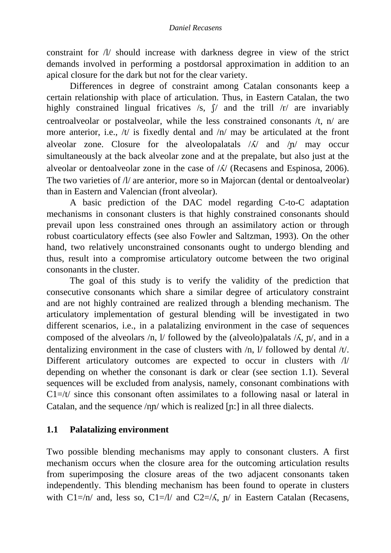constraint for /l/ should increase with darkness degree in view of the strict demands involved in performing a postdorsal approximation in addition to an apical closure for the dark but not for the clear variety.

 Differences in degree of constraint among Catalan consonants keep a certain relationship with place of articulation. Thus, in Eastern Catalan, the two highly constrained lingual fricatives  $\sqrt{s}$ ,  $\int$  and the trill  $\sqrt{r}$  are invariably centroalveolar or postalveolar, while the less constrained consonants /t, n/ are more anterior, i.e., /t/ is fixedly dental and /n/ may be articulated at the front alveolar zone. Closure for the alveolopalatals  $/\lambda$  and  $/\eta$  may occur simultaneously at the back alveolar zone and at the prepalate, but also just at the alveolar or dentoalveolar zone in the case of  $\Lambda$  (Recasens and Espinosa, 2006). The two varieties of  $\Lambda$  are anterior, more so in Majorcan (dental or dentoalveolar) than in Eastern and Valencian (front alveolar).

 A basic prediction of the DAC model regarding C-to-C adaptation mechanisms in consonant clusters is that highly constrained consonants should prevail upon less constrained ones through an assimilatory action or through robust coarticulatory effects (see also Fowler and Saltzman, 1993). On the other hand, two relatively unconstrained consonants ought to undergo blending and thus, result into a compromise articulatory outcome between the two original consonants in the cluster.

 The goal of this study is to verify the validity of the prediction that consecutive consonants which share a similar degree of articulatory constraint and are not highly contrained are realized through a blending mechanism. The articulatory implementation of gestural blending will be investigated in two different scenarios, i.e., in a palatalizing environment in the case of sequences composed of the alveolars /n, l/ followed by the (alveolo)palatals  $/\lambda$ ,  $\pi$ , and in a dentalizing environment in the case of clusters with /n, l/ followed by dental /t/. Different articulatory outcomes are expected to occur in clusters with /l/ depending on whether the consonant is dark or clear (see section 1.1). Several sequences will be excluded from analysis, namely, consonant combinations with  $Cl = /t$  since this consonant often assimilates to a following nasal or lateral in Catalan, and the sequence  $/nn/$  which is realized  $[n:]$  in all three dialects.

# **1.1 Palatalizing environment**

Two possible blending mechanisms may apply to consonant clusters. A first mechanism occurs when the closure area for the outcoming articulation results from superimposing the closure areas of the two adjacent consonants taken independently. This blending mechanism has been found to operate in clusters with  $Cl = /n/$  and, less so,  $Cl = /l/$  and  $Cl = /K$ ,  $n/$  in Eastern Catalan (Recasens,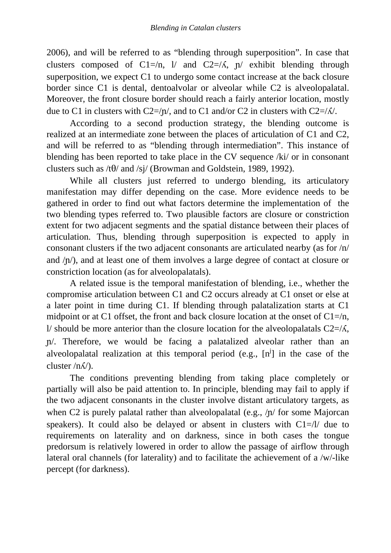2006), and will be referred to as "blending through superposition". In case that clusters composed of C1=/n, l/ and C2=/ $\Lambda$ , n/ exhibit blending through superposition, we expect C1 to undergo some contact increase at the back closure border since C1 is dental, dentoalvolar or alveolar while C2 is alveolopalatal. Moreover, the front closure border should reach a fairly anterior location, mostly due to C1 in clusters with C2=/ $\eta$ , and to C1 and/or C2 in clusters with C2=/ $\Lambda$ .

According to a second production strategy, the blending outcome is realized at an intermediate zone between the places of articulation of C1 and C2, and will be referred to as "blending through intermediation". This instance of blending has been reported to take place in the CV sequence /ki/ or in consonant clusters such as  $/t\theta$  and /sj/ (Browman and Goldstein, 1989, 1992).

While all clusters just referred to undergo blending, its articulatory manifestation may differ depending on the case. More evidence needs to be gathered in order to find out what factors determine the implementation of the two blending types referred to. Two plausible factors are closure or constriction extent for two adjacent segments and the spatial distance between their places of articulation. Thus, blending through superposition is expected to apply in consonant clusters if the two adjacent consonants are articulated nearby (as for /n/ and  $/\nu$ ), and at least one of them involves a large degree of contact at closure or constriction location (as for alveolopalatals).

A related issue is the temporal manifestation of blending, i.e., whether the compromise articulation between C1 and C2 occurs already at C1 onset or else at a later point in time during C1. If blending through palatalization starts at C1 midpoint or at C1 offset, the front and back closure location at the onset of  $Cl = /n$ , l/ should be more anterior than the closure location for the alveolopalatals  $C2=\Lambda$ , /. Therefore, we would be facing a palatalized alveolar rather than an alveolopalatal realization at this temporal period (e.g.,  $[n^j]$  in the case of the cluster  $/n\Lambda$ ).

The conditions preventing blending from taking place completely or partially will also be paid attention to. In principle, blending may fail to apply if the two adjacent consonants in the cluster involve distant articulatory targets, as when C2 is purely palatal rather than alveolopalatal (e.g.,  $/\eta$  for some Majorcan speakers). It could also be delayed or absent in clusters with  $Cl=1/$  due to requirements on laterality and on darkness, since in both cases the tongue predorsum is relatively lowered in order to allow the passage of airflow through lateral oral channels (for laterality) and to facilitate the achievement of a /w/-like percept (for darkness).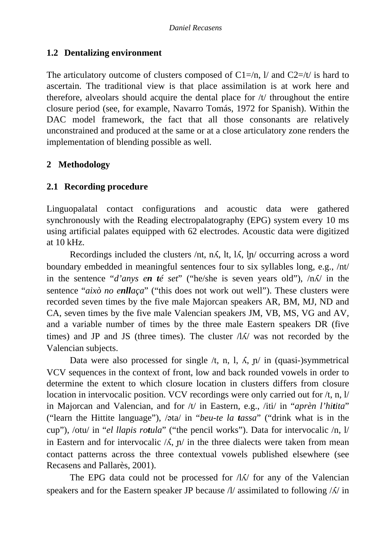# **1.2 Dentalizing environment**

The articulatory outcome of clusters composed of  $Cl = /n$ , I/ and  $Cl = /t/$  is hard to ascertain. The traditional view is that place assimilation is at work here and therefore, alveolars should acquire the dental place for /t/ throughout the entire closure period (see, for example, Navarro Tomás, 1972 for Spanish). Within the DAC model framework, the fact that all those consonants are relatively unconstrained and produced at the same or at a close articulatory zone renders the implementation of blending possible as well.

# **2 Methodology**

# **2.1 Recording procedure**

Linguopalatal contact configurations and acoustic data were gathered synchronously with the Reading electropalatography (EPG) system every 10 ms using artificial palates equipped with 62 electrodes. Acoustic data were digitized at 10 kHz.

Recordings included the clusters /nt, n $\Lambda$ , lt, l $\Lambda$ , ln/ occurring across a word boundary embedded in meaningful sentences four to six syllables long, e.g., /nt/ in the sentence "*d'anys en té set*" ("he/she is seven years old"),  $/n\Lambda$  in the sentence "*això no enllaça*" ("this does not work out well"). These clusters were recorded seven times by the five male Majorcan speakers AR, BM, MJ, ND and CA, seven times by the five male Valencian speakers JM, VB, MS, VG and AV, and a variable number of times by the three male Eastern speakers DR (five times) and JP and JS (three times). The cluster  $\Lambda/\Lambda$  was not recorded by the Valencian subjects.

Data were also processed for single  $/t$ , n, l,  $\Lambda$ ,  $p/$  in (quasi-)symmetrical VCV sequences in the context of front, low and back rounded vowels in order to determine the extent to which closure location in clusters differs from closure location in intervocalic position. VCV recordings were only carried out for /t, n, l/ in Majorcan and Valencian, and for /t/ in Eastern, e.g., /iti/ in "*aprèn l'hitita*" ("learn the Hittite language"), /əta/ in "*beu-te la tassa*" ("drink what is in the cup"), /otu/ in "*el llapis rotula*" ("the pencil works"). Data for intervocalic /n, l/ in Eastern and for intervocalic  $/\lambda$ ,  $\eta$  in the three dialects were taken from mean contact patterns across the three contextual vowels published elsewhere (see Recasens and Pallarès, 2001).

The EPG data could not be processed for  $\Lambda/\Lambda$  for any of the Valencian speakers and for the Eastern speaker JP because  $\Lambda$  assimilated to following  $\Lambda$  in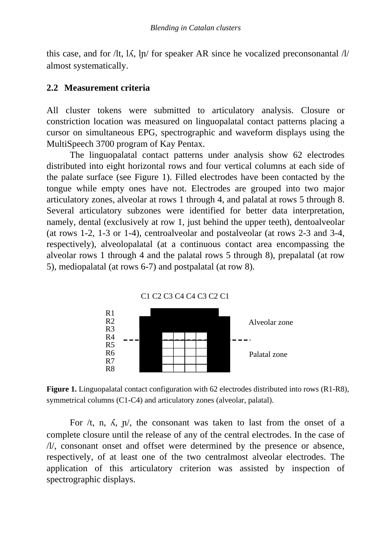this case, and for /lt,  $\Lambda$ ,  $\ln$  for speaker AR since he vocalized preconsonantal /l/ almost systematically.

# **2.2 Measurement criteria**

All cluster tokens were submitted to articulatory analysis. Closure or constriction location was measured on linguopalatal contact patterns placing a cursor on simultaneous EPG, spectrographic and waveform displays using the MultiSpeech 3700 program of Kay Pentax.

The linguopalatal contact patterns under analysis show 62 electrodes distributed into eight horizontal rows and four vertical columns at each side of the palate surface (see Figure 1). Filled electrodes have been contacted by the tongue while empty ones have not. Electrodes are grouped into two major articulatory zones, alveolar at rows 1 through 4, and palatal at rows 5 through 8. Several articulatory subzones were identified for better data interpretation, namely, dental (exclusively at row 1, just behind the upper teeth), dentoalveolar (at rows 1-2, 1-3 or 1-4), centroalveolar and postalveolar (at rows 2-3 and 3-4, respectively), alveolopalatal (at a continuous contact area encompassing the alveolar rows 1 through 4 and the palatal rows 5 through 8), prepalatal (at row 5), mediopalatal (at rows 6-7) and postpalatal (at row 8).



**Figure 1.** Linguopalatal contact configuration with 62 electrodes distributed into rows (R1-R8), symmetrical columns (C1-C4) and articulatory zones (alveolar, palatal).

For  $/t$ , n,  $\Lambda$ ,  $\pi/$ , the consonant was taken to last from the onset of a complete closure until the release of any of the central electrodes. In the case of /l/, consonant onset and offset were determined by the presence or absence, respectively, of at least one of the two centralmost alveolar electrodes. The application of this articulatory criterion was assisted by inspection of spectrographic displays.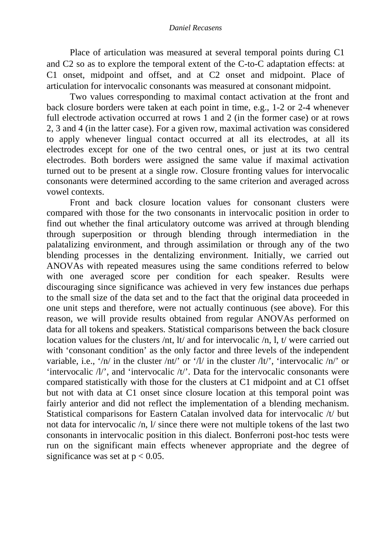#### *Daniel Recasens*

 Place of articulation was measured at several temporal points during C1 and C2 so as to explore the temporal extent of the C-to-C adaptation effects: at C1 onset, midpoint and offset, and at C2 onset and midpoint. Place of articulation for intervocalic consonants was measured at consonant midpoint.

 Two values corresponding to maximal contact activation at the front and back closure borders were taken at each point in time, e.g., 1-2 or 2-4 whenever full electrode activation occurred at rows 1 and 2 (in the former case) or at rows 2, 3 and 4 (in the latter case). For a given row, maximal activation was considered to apply whenever lingual contact occurred at all its electrodes, at all its electrodes except for one of the two central ones, or just at its two central electrodes. Both borders were assigned the same value if maximal activation turned out to be present at a single row. Closure fronting values for intervocalic consonants were determined according to the same criterion and averaged across vowel contexts.

 Front and back closure location values for consonant clusters were compared with those for the two consonants in intervocalic position in order to find out whether the final articulatory outcome was arrived at through blending through superposition or through blending through intermediation in the palatalizing environment, and through assimilation or through any of the two blending processes in the dentalizing environment. Initially, we carried out ANOVAs with repeated measures using the same conditions referred to below with one averaged score per condition for each speaker. Results were discouraging since significance was achieved in very few instances due perhaps to the small size of the data set and to the fact that the original data proceeded in one unit steps and therefore, were not actually continuous (see above). For this reason, we will provide results obtained from regular ANOVAs performed on data for all tokens and speakers. Statistical comparisons between the back closure location values for the clusters /nt, lt/ and for intervocalic /n, l, t/ were carried out with 'consonant condition' as the only factor and three levels of the independent variable, i.e., '/n/ in the cluster /nt/' or '/l/ in the cluster /lt/', 'intervocalic /n/' or 'intervocalic  $\Lambda$ ', and 'intervocalic  $\Lambda$ '. Data for the intervocalic consonants were compared statistically with those for the clusters at C1 midpoint and at C1 offset but not with data at C1 onset since closure location at this temporal point was fairly anterior and did not reflect the implementation of a blending mechanism. Statistical comparisons for Eastern Catalan involved data for intervocalic /t/ but not data for intervocalic /n, l/ since there were not multiple tokens of the last two consonants in intervocalic position in this dialect. Bonferroni post-hoc tests were run on the significant main effects whenever appropriate and the degree of significance was set at  $p < 0.05$ .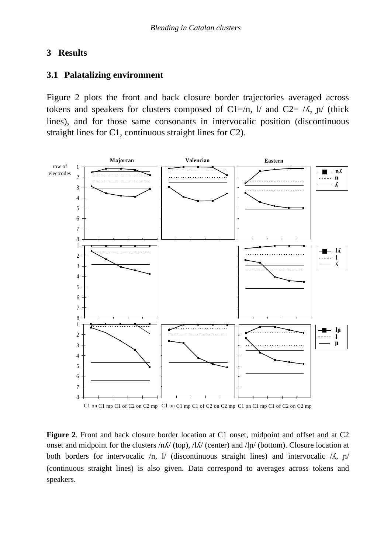#### **3 Results**

# **3.1 Palatalizing environment**

Figure 2 plots the front and back closure border trajectories averaged across tokens and speakers for clusters composed of C1=/n, l/ and C2= / $\Lambda$ ,  $\eta$ / (thick lines), and for those same consonants in intervocalic position (discontinuous straight lines for C1, continuous straight lines for C2).



C1 on C1 mp C1 of C2 on C2 mp C1 on C1 mp C1 of C2 on C2 mp C1 on C1 mp C1 of C2 on C2 mp

**Figure 2**. Front and back closure border location at C1 onset, midpoint and offset and at C2 onset and midpoint for the clusters  $/n\Lambda/$  (top),  $/\Lambda/$  (center) and  $/\ln/$  (bottom). Closure location at both borders for intervocalic  $/n$ ,  $l$  (discontinuous straight lines) and intervocalic  $/$ Å,  $p$ (continuous straight lines) is also given. Data correspond to averages across tokens and speakers.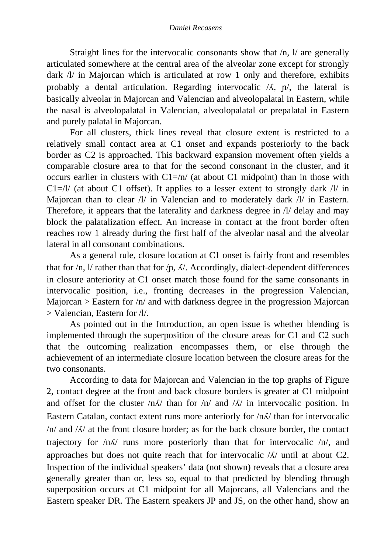Straight lines for the intervocalic consonants show that  $/n$ ,  $1/$  are generally articulated somewhere at the central area of the alveolar zone except for strongly dark /l/ in Majorcan which is articulated at row 1 only and therefore, exhibits probably a dental articulation. Regarding intervocalic  $/\lambda$ ,  $\eta$ , the lateral is basically alveolar in Majorcan and Valencian and alveolopalatal in Eastern, while the nasal is alveolopalatal in Valencian, alveolopalatal or prepalatal in Eastern and purely palatal in Majorcan.

 For all clusters, thick lines reveal that closure extent is restricted to a relatively small contact area at C1 onset and expands posteriorly to the back border as C2 is approached. This backward expansion movement often yields a comparable closure area to that for the second consonant in the cluster, and it occurs earlier in clusters with  $Cl = \pi/$  (at about C1 midpoint) than in those with  $Cl = /l/$  (at about C1 offset). It applies to a lesser extent to strongly dark  $/l/$  in Majorcan than to clear  $\Lambda$  in Valencian and to moderately dark  $\Lambda$  in Eastern. Therefore, it appears that the laterality and darkness degree in /l/ delay and may block the palatalization effect. An increase in contact at the front border often reaches row 1 already during the first half of the alveolar nasal and the alveolar lateral in all consonant combinations.

 As a general rule, closure location at C1 onset is fairly front and resembles that for  $/n$ ,  $1/$  rather than that for  $/n$ ,  $\Lambda/$ . Accordingly, dialect-dependent differences in closure anteriority at C1 onset match those found for the same consonants in intervocalic position, i.e., fronting decreases in the progression Valencian, Majorcan  $>$  Eastern for  $/n/$  and with darkness degree in the progression Majorcan > Valencian, Eastern for /l/.

 As pointed out in the Introduction, an open issue is whether blending is implemented through the superposition of the closure areas for C1 and C2 such that the outcoming realization encompasses them, or else through the achievement of an intermediate closure location between the closure areas for the two consonants.

According to data for Majorcan and Valencian in the top graphs of Figure 2, contact degree at the front and back closure borders is greater at C1 midpoint and offset for the cluster  $/n\Lambda$  than for  $/n/$  and  $/\Lambda$  in intervocalic position. In Eastern Catalan, contact extent runs more anteriorly for  $/n\Lambda$  than for intervocalic  $/n/$  and  $/N/$  at the front closure border; as for the back closure border, the contact trajectory for  $/n\Lambda$  runs more posteriorly than that for intervocalic  $/n$ , and approaches but does not quite reach that for intervocalic  $/N$  until at about C2. Inspection of the individual speakers' data (not shown) reveals that a closure area generally greater than or, less so, equal to that predicted by blending through superposition occurs at C1 midpoint for all Majorcans, all Valencians and the Eastern speaker DR. The Eastern speakers JP and JS, on the other hand, show an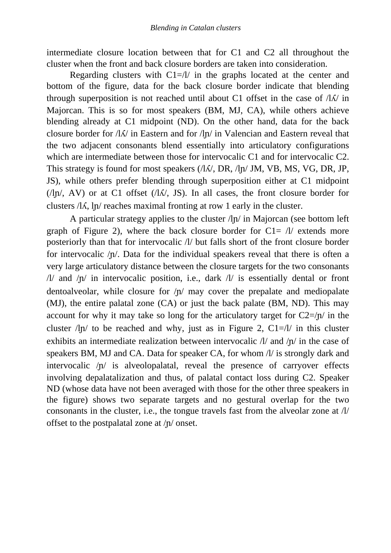intermediate closure location between that for C1 and C2 all throughout the cluster when the front and back closure borders are taken into consideration.

Regarding clusters with  $Cl = /l/$  in the graphs located at the center and bottom of the figure, data for the back closure border indicate that blending through superposition is not reached until about C1 offset in the case of  $\Lambda/\Lambda$  in Majorcan. This is so for most speakers (BM, MJ, CA), while others achieve blending already at C1 midpoint (ND). On the other hand, data for the back closure border for  $\Lambda/\Lambda$  in Eastern and for  $\Lambda/\Lambda$  in Valencian and Eastern reveal that the two adjacent consonants blend essentially into articulatory configurations which are intermediate between those for intervocalic C1 and for intervocalic C2. This strategy is found for most speakers  $\langle A/\sqrt{N}$ , DR,  $\langle A \rangle$ , JM, VB, MS, VG, DR, JP, JS), while others prefer blending through superposition either at C1 midpoint ( $\ln$ , AV) or at C1 offset ( $\ln$ , JS). In all cases, the front closure border for clusters  $\Lambda$ , ln/ reaches maximal fronting at row 1 early in the cluster.

A particular strategy applies to the cluster /l/ in Majorcan (see bottom left graph of Figure 2), where the back closure border for  $C1 = \frac{1}{4}$  extends more posteriorly than that for intervocalic /l/ but falls short of the front closure border for intervocalic  $/p/$ . Data for the individual speakers reveal that there is often a very large articulatory distance between the closure targets for the two consonants /l/ and  $/p$  in intervocalic position, i.e., dark  $/l$  is essentially dental or front dentoalveolar, while closure for  $/\nu$  may cover the prepalate and mediopalate (MJ), the entire palatal zone (CA) or just the back palate (BM, ND). This may account for why it may take so long for the articulatory target for  $C2=/\nu$  in the cluster  $\ln$  to be reached and why, just as in Figure 2, C1= $\ln$  in this cluster exhibits an intermediate realization between intervocalic  $\Lambda$  and  $\Lambda$  in the case of speakers BM, MJ and CA. Data for speaker CA, for whom /l/ is strongly dark and intervocalic  $/p/$  is alveolopalatal, reveal the presence of carryover effects involving depalatalization and thus, of palatal contact loss during C2. Speaker ND (whose data have not been averaged with those for the other three speakers in the figure) shows two separate targets and no gestural overlap for the two consonants in the cluster, i.e., the tongue travels fast from the alveolar zone at /l/ offset to the postpalatal zone at  $/\eta$  onset.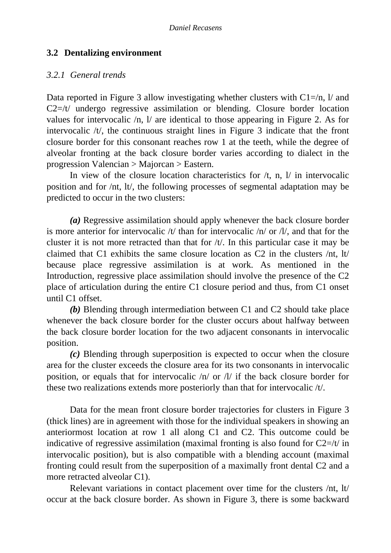# **3.2 Dentalizing environment**

### *3.2.1 General trends*

Data reported in Figure 3 allow investigating whether clusters with  $Cl = /n$ ,  $l$  and C2=/t/ undergo regressive assimilation or blending. Closure border location values for intervocalic /n, l/ are identical to those appearing in Figure 2. As for intervocalic /t/, the continuous straight lines in Figure 3 indicate that the front closure border for this consonant reaches row 1 at the teeth, while the degree of alveolar fronting at the back closure border varies according to dialect in the progression Valencian > Majorcan > Eastern.

In view of the closure location characteristics for  $/t$ , n,  $l$  in intervocalic position and for /nt, lt/, the following processes of segmental adaptation may be predicted to occur in the two clusters:

*(a)* Regressive assimilation should apply whenever the back closure border is more anterior for intervocalic /t/ than for intervocalic /n/ or /l/, and that for the cluster it is not more retracted than that for /t/. In this particular case it may be claimed that C1 exhibits the same closure location as C2 in the clusters /nt, lt/ because place regressive assimilation is at work. As mentioned in the Introduction, regressive place assimilation should involve the presence of the C2 place of articulation during the entire C1 closure period and thus, from C1 onset until C1 offset.

*(b)* Blending through intermediation between C1 and C2 should take place whenever the back closure border for the cluster occurs about halfway between the back closure border location for the two adjacent consonants in intervocalic position.

*(c)* Blending through superposition is expected to occur when the closure area for the cluster exceeds the closure area for its two consonants in intervocalic position, or equals that for intervocalic /n/ or /l/ if the back closure border for these two realizations extends more posteriorly than that for intervocalic /t/.

Data for the mean front closure border trajectories for clusters in Figure 3 (thick lines) are in agreement with those for the individual speakers in showing an anteriormost location at row 1 all along C1 and C2. This outcome could be indicative of regressive assimilation (maximal fronting is also found for  $C2=/t/$  in intervocalic position), but is also compatible with a blending account (maximal fronting could result from the superposition of a maximally front dental C2 and a more retracted alveolar C1).

Relevant variations in contact placement over time for the clusters /nt, lt/ occur at the back closure border. As shown in Figure 3, there is some backward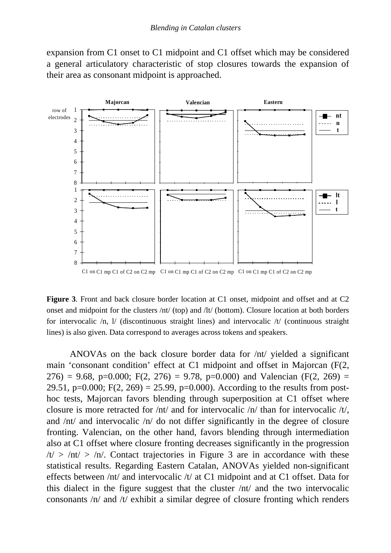expansion from C1 onset to C1 midpoint and C1 offset which may be considered a general articulatory characteristic of stop closures towards the expansion of their area as consonant midpoint is approached.



**Figure 3**. Front and back closure border location at C1 onset, midpoint and offset and at C2 onset and midpoint for the clusters /nt/ (top) and /lt/ (bottom). Closure location at both borders for intervocalic /n, l/ (discontinuous straight lines) and intervocalic /t/ (continuous straight lines) is also given. Data correspond to averages across tokens and speakers.

ANOVAs on the back closure border data for /nt/ yielded a significant main 'consonant condition' effect at C1 midpoint and offset in Majorcan (F(2, 276) = 9.68, p=0.000; F(2, 276) = 9.78, p=0.000) and Valencian (F(2, 269) = 29.51, p=0.000; F(2, 269) = 25.99, p=0.000). According to the results from posthoc tests, Majorcan favors blending through superposition at C1 offset where closure is more retracted for /nt/ and for intervocalic /n/ than for intervocalic /t/, and /nt/ and intervocalic /n/ do not differ significantly in the degree of closure fronting. Valencian, on the other hand, favors blending through intermediation also at C1 offset where closure fronting decreases significantly in the progression  $/t$  > /nt/ > /n/. Contact trajectories in Figure 3 are in accordance with these statistical results. Regarding Eastern Catalan, ANOVAs yielded non-significant effects between /nt/ and intervocalic /t/ at C1 midpoint and at C1 offset. Data for this dialect in the figure suggest that the cluster /nt/ and the two intervocalic consonants /n/ and /t/ exhibit a similar degree of closure fronting which renders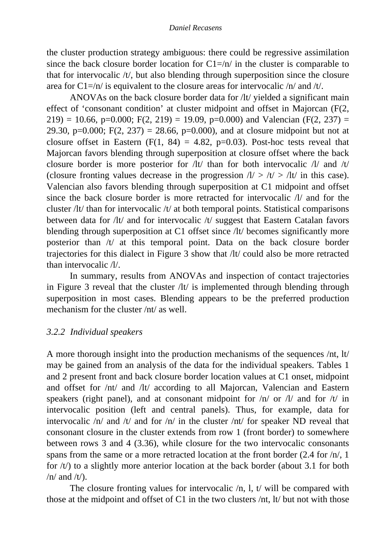the cluster production strategy ambiguous: there could be regressive assimilation since the back closure border location for  $Cl = \pi / \pi$  in the cluster is comparable to that for intervocalic /t/, but also blending through superposition since the closure area for  $Cl = \pi / i$  is equivalent to the closure areas for intervocalic  $\pi / \pi$  and  $\pi / i$ .

 ANOVAs on the back closure border data for /lt/ yielded a significant main effect of 'consonant condition' at cluster midpoint and offset in Majorcan (F(2, 219) = 10.66, p=0.000; F(2, 219) = 19.09, p=0.000) and Valencian (F(2, 237) = 29.30, p=0.000; F(2, 237) = 28.66, p=0.000), and at closure midpoint but not at closure offset in Eastern  $(F(1, 84) = 4.82, p=0.03)$ . Post-hoc tests reveal that Majorcan favors blending through superposition at closure offset where the back closure border is more posterior for /lt/ than for both intervocalic /l/ and /t/ (closure fronting values decrease in the progression  $1/$  >  $/t$  >  $/t$  in this case). Valencian also favors blending through superposition at C1 midpoint and offset since the back closure border is more retracted for intervocalic /l/ and for the cluster /lt/ than for intervocalic /t/ at both temporal points. Statistical comparisons between data for /lt/ and for intervocalic /t/ suggest that Eastern Catalan favors blending through superposition at C1 offset since /lt/ becomes significantly more posterior than /t/ at this temporal point. Data on the back closure border trajectories for this dialect in Figure 3 show that /lt/ could also be more retracted than intervocalic /l/.

In summary, results from ANOVAs and inspection of contact trajectories in Figure 3 reveal that the cluster /lt/ is implemented through blending through superposition in most cases. Blending appears to be the preferred production mechanism for the cluster /nt/ as well.

# *3.2.2 Individual speakers*

A more thorough insight into the production mechanisms of the sequences /nt, lt/ may be gained from an analysis of the data for the individual speakers. Tables 1 and 2 present front and back closure border location values at C1 onset, midpoint and offset for /nt/ and /lt/ according to all Majorcan, Valencian and Eastern speakers (right panel), and at consonant midpoint for  $/n/$  or  $1/$  and for  $/t/$  in intervocalic position (left and central panels). Thus, for example, data for intervocalic /n/ and /t/ and for /n/ in the cluster /nt/ for speaker ND reveal that consonant closure in the cluster extends from row 1 (front border) to somewhere between rows 3 and 4 (3.36), while closure for the two intervocalic consonants spans from the same or a more retracted location at the front border (2.4 for /n/, 1 for /t/) to a slightly more anterior location at the back border (about 3.1 for both  $/n/$  and  $/t/$ ).

The closure fronting values for intervocalic  $/n$ , 1, t/ will be compared with those at the midpoint and offset of C1 in the two clusters /nt, lt/ but not with those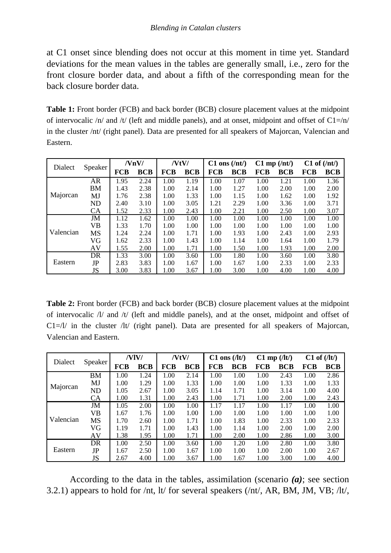at C1 onset since blending does not occur at this moment in time yet. Standard deviations for the mean values in the tables are generally small, i.e., zero for the front closure border data, and about a fifth of the corresponding mean for the back closure border data.

**Table 1:** Front border (FCB) and back border (BCB) closure placement values at the midpoint of intervocalic  $/n/$  and  $/t/$  (left and middle panels), and at onset, midpoint and offset of  $C1=/n/$ in the cluster /nt/ (right panel). Data are presented for all speakers of Majorcan, Valencian and Eastern.

| Dialect   | Speaker   | /NnV/ |            | /VtV/      |            | $C1$ ons $(\text{int})$ |            | $C1$ mp $(\text{int})$ |            | $C1$ of $(\text{int})$ |            |
|-----------|-----------|-------|------------|------------|------------|-------------------------|------------|------------------------|------------|------------------------|------------|
|           |           | FCB   | <b>BCB</b> | <b>FCB</b> | <b>BCB</b> | FCB                     | <b>BCB</b> | <b>FCB</b>             | <b>BCB</b> | <b>FCB</b>             | <b>BCB</b> |
| Majorcan  | AR        | 1.95  | 2.24       | 1.00       | 1.19       | 1.00                    | 1.07       | 1.00                   | 1.21       | 1.00                   | 1.36       |
|           | <b>BM</b> | 1.43  | 2.38       | 1.00       | 2.14       | 1.00                    | 1.27       | 1.00                   | 2.00       | 1.00                   | 2.00       |
|           | MJ        | 1.76  | 2.38       | 1.00       | 1.33       | 1.00                    | 1.15       | 1.00                   | 1.62       | 1.00                   | 1.92       |
|           | ND        | 2.40  | 3.10       | 1.00       | 3.05       | 1.21                    | 2.29       | 1.00                   | 3.36       | 1.00                   | 3.71       |
|           | <b>CA</b> | 1.52  | 2.33       | 1.00       | 2.43       | 1.00                    | 2.21       | 1.00                   | 2.50       | 1.00                   | 3.07       |
| Valencian | JM        | 1.12  | 1.62       | 1.00       | 1.00       | 1.00                    | 1.00       | 1.00                   | 1.00       | 1.00                   | 1.00       |
|           | VB        | 1.33  | 1.70       | 1.00       | 1.00       | 1.00                    | 1.00       | 1.00                   | 1.00       | 1.00                   | 1.00       |
|           | <b>MS</b> | 1.24  | 2.24       | 1.00       | 1.71       | 1.00                    | 1.93       | 1.00                   | 2.43       | 1.00                   | 2.93       |
|           | VG        | 1.62  | 2.33       | 1.00       | 1.43       | 1.00                    | 1.14       | 1.00                   | 1.64       | 1.00                   | 1.79       |
|           | AV        | 1.55  | 2.00       | 1.00       | 1.71       | 1.00                    | 1.50       | 1.00                   | 1.93       | 1.00                   | 2.00       |
| Eastern   | DR        | 1.33  | 3.00       | 1.00       | 3.60       | 1.00                    | 1.80       | 1.00                   | 3.60       | 1.00                   | 3.80       |
|           | JP        | 2.83  | 3.83       | 1.00       | 1.67       | 1.00                    | 1.67       | 1.00                   | 2.33       | 1.00                   | 2.33       |
|           | JS        | 3.00  | 3.83       | 1.00       | 3.67       | 1.00                    | 3.00       | 1.00                   | 4.00       | 1.00                   | 4.00       |

**Table 2:** Front border (FCB) and back border (BCB) closure placement values at the midpoint of intervocalic /l/ and /t/ (left and middle panels), and at the onset, midpoint and offset of  $Cl=1/$  in the cluster  $/lt/$  (right panel). Data are presented for all speakers of Majorcan, Valencian and Eastern.

| Dialect   | Speaker   | /VIV/      |            | /VtV/      |            | $C1$ ons $(7)$ |            | $C1$ mp $(1t)$ |            | $C1$ of $(1t)$ |            |
|-----------|-----------|------------|------------|------------|------------|----------------|------------|----------------|------------|----------------|------------|
|           |           | <b>FCB</b> | <b>BCB</b> | <b>FCB</b> | <b>BCB</b> | <b>FCB</b>     | <b>BCB</b> | <b>FCB</b>     | <b>BCB</b> | <b>FCB</b>     | <b>BCB</b> |
| Majorcan  | <b>BM</b> | 1.00       | 1.24       | 1.00       | 2.14       | 1.00           | 1.00       | 1.00           | 2.43       | 1.00           | 2.86       |
|           | MJ        | 1.00       | 1.29       | 1.00       | 1.33       | 1.00           | 1.00       | 1.00           | 1.33       | 1.00           | 1.33       |
|           | <b>ND</b> | 1.05       | 2.67       | 1.00       | 3.05       | 1.14           | 1.71       | 1.00           | 3.14       | 1.00           | 4.00       |
|           | СA        | 1.00       | 1.31       | 1.00       | 2.43       | 1.00           | 1.71       | 1.00           | 2.00       | 1.00           | 2.43       |
| Valencian | JM        | 1.05       | 2.00       | 1.00       | 1.00       | 1.17           | 1.17       | 1.00           | 1.17       | 1.00           | 1.00       |
|           | VВ        | 1.67       | 1.76       | 1.00       | 1.00       | 1.00           | 1.00       | 1.00           | 1.00       | 1.00           | 1.00       |
|           | <b>MS</b> | 1.70       | 2.60       | 1.00       | 1.71       | 1.00           | 1.83       | 1.00           | 2.33       | 1.00           | 2.33       |
|           | VG        | 1.19       | 1.71       | 1.00       | 1.43       | 1.00           | 1.14       | 1.00           | 2.00       | 1.00           | 2.00       |
|           | AV        | 1.38       | 1.95       | 1.00       | 1.71       | 1.00           | 2.00       | 1.00           | 2.86       | 1.00           | 3.00       |
| Eastern   | DR        | 1.00       | 2.50       | 1.00       | 3.60       | 1.00           | 1.20       | 1.00           | 2.80       | 1.00           | 3.80       |
|           | JP        | 1.67       | 2.50       | 1.00       | 1.67       | 1.00           | 1.00       | 1.00           | 2.00       | 1.00           | 2.67       |
|           | JS        | 2.67       | 4.00       | 1.00       | 3.67       | 1.00           | 1.67       | 1.00           | 3.00       | 1.00           | 4.00       |

According to the data in the tables, assimilation (scenario *(a)*; see section 3.2.1) appears to hold for /nt, lt/ for several speakers (/nt/, AR, BM, JM, VB; /lt/,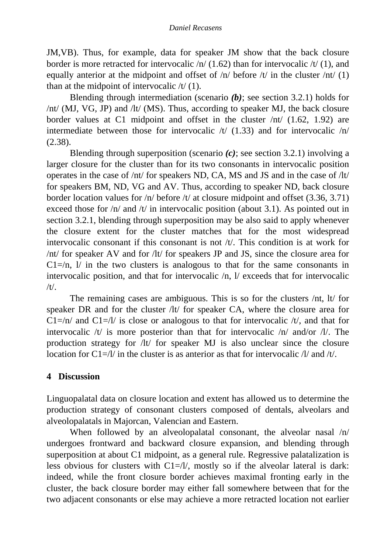JM,VB). Thus, for example, data for speaker JM show that the back closure border is more retracted for intervocalic  $/n/(1.62)$  than for intervocalic  $/t/(1)$ , and equally anterior at the midpoint and offset of  $/n/$  before  $/t/$  in the cluster  $/nt/ (1)$ than at the midpoint of intervocalic  $/t/(1)$ .

Blending through intermediation (scenario *(b)*; see section 3.2.1) holds for /nt/ (MJ, VG, JP) and /lt/ (MS). Thus, according to speaker MJ, the back closure border values at C1 midpoint and offset in the cluster /nt/ (1.62, 1.92) are intermediate between those for intervocalic  $/t/$  (1.33) and for intervocalic  $/n/$ (2.38).

Blending through superposition (scenario *(c)*; see section 3.2.1) involving a larger closure for the cluster than for its two consonants in intervocalic position operates in the case of /nt/ for speakers ND, CA, MS and JS and in the case of /lt/ for speakers BM, ND, VG and AV. Thus, according to speaker ND, back closure border location values for /n/ before /t/ at closure midpoint and offset (3.36, 3.71) exceed those for  $/n/$  and  $/t/$  in intervocalic position (about 3.1). As pointed out in section 3.2.1, blending through superposition may be also said to apply whenever the closure extent for the cluster matches that for the most widespread intervocalic consonant if this consonant is not /t/. This condition is at work for /nt/ for speaker AV and for /lt/ for speakers JP and JS, since the closure area for  $Cl = \langle n, 1 \rangle$  in the two clusters is analogous to that for the same consonants in intervocalic position, and that for intervocalic /n, l/ exceeds that for intervocalic  $/t/$ .

The remaining cases are ambiguous. This is so for the clusters /nt, lt/ for speaker DR and for the cluster /lt/ for speaker CA, where the closure area for  $Cl = \pi/$  and  $Cl = \pi/$  is close or analogous to that for intervocalic  $/t/$ , and that for intervocalic /t/ is more posterior than that for intervocalic /n/ and/or /l/. The production strategy for /lt/ for speaker MJ is also unclear since the closure location for  $C1 = 1/$  in the cluster is as anterior as that for intervocalic  $1/$  and  $/t/$ .

# **4 Discussion**

Linguopalatal data on closure location and extent has allowed us to determine the production strategy of consonant clusters composed of dentals, alveolars and alveolopalatals in Majorcan, Valencian and Eastern.

When followed by an alveolopalatal consonant, the alveolar nasal  $/n/$ undergoes frontward and backward closure expansion, and blending through superposition at about C1 midpoint, as a general rule. Regressive palatalization is less obvious for clusters with  $C1 = / l$ , mostly so if the alveolar lateral is dark: indeed, while the front closure border achieves maximal fronting early in the cluster, the back closure border may either fall somewhere between that for the two adjacent consonants or else may achieve a more retracted location not earlier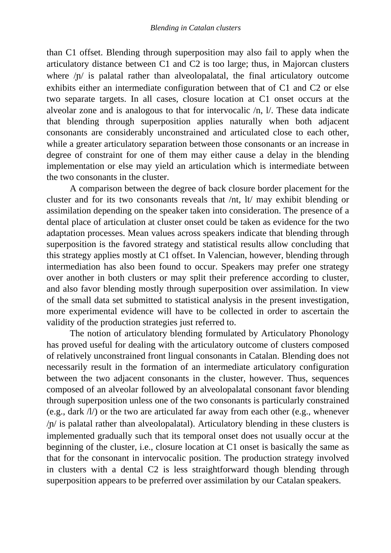than C1 offset. Blending through superposition may also fail to apply when the articulatory distance between C1 and C2 is too large; thus, in Majorcan clusters where  $/\nu$  is palatal rather than alveolopalatal, the final articulatory outcome exhibits either an intermediate configuration between that of C1 and C2 or else two separate targets. In all cases, closure location at C1 onset occurs at the alveolar zone and is analogous to that for intervocalic /n, l/. These data indicate that blending through superposition applies naturally when both adjacent consonants are considerably unconstrained and articulated close to each other, while a greater articulatory separation between those consonants or an increase in degree of constraint for one of them may either cause a delay in the blending implementation or else may yield an articulation which is intermediate between the two consonants in the cluster.

A comparison between the degree of back closure border placement for the cluster and for its two consonants reveals that /nt, lt/ may exhibit blending or assimilation depending on the speaker taken into consideration. The presence of a dental place of articulation at cluster onset could be taken as evidence for the two adaptation processes. Mean values across speakers indicate that blending through superposition is the favored strategy and statistical results allow concluding that this strategy applies mostly at C1 offset. In Valencian, however, blending through intermediation has also been found to occur. Speakers may prefer one strategy over another in both clusters or may split their preference according to cluster, and also favor blending mostly through superposition over assimilation. In view of the small data set submitted to statistical analysis in the present investigation, more experimental evidence will have to be collected in order to ascertain the validity of the production strategies just referred to.

 The notion of articulatory blending formulated by Articulatory Phonology has proved useful for dealing with the articulatory outcome of clusters composed of relatively unconstrained front lingual consonants in Catalan. Blending does not necessarily result in the formation of an intermediate articulatory configuration between the two adjacent consonants in the cluster, however. Thus, sequences composed of an alveolar followed by an alveolopalatal consonant favor blending through superposition unless one of the two consonants is particularly constrained (e.g., dark /l/) or the two are articulated far away from each other (e.g., whenever  $/p$  is palatal rather than alveolopalatal). Articulatory blending in these clusters is implemented gradually such that its temporal onset does not usually occur at the beginning of the cluster, i.e., closure location at C1 onset is basically the same as that for the consonant in intervocalic position. The production strategy involved in clusters with a dental C2 is less straightforward though blending through superposition appears to be preferred over assimilation by our Catalan speakers.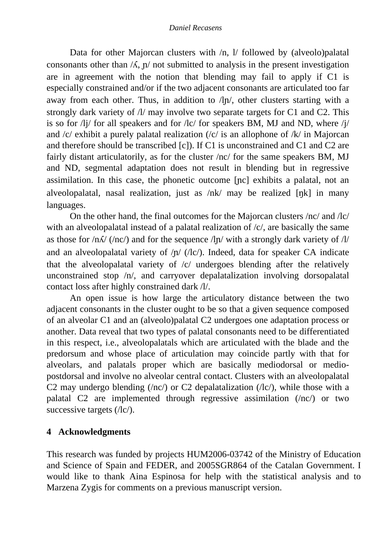#### *Daniel Recasens*

Data for other Majorcan clusters with  $/n$ , 1/ followed by (alveolo)palatal consonants other than  $\Lambda$ ,  $\mathbf{n}'$  not submitted to analysis in the present investigation are in agreement with the notion that blending may fail to apply if C1 is especially constrained and/or if the two adjacent consonants are articulated too far away from each other. Thus, in addition to  $/\ln \sqrt{ }$ , other clusters starting with a strongly dark variety of  $\Lambda$  may involve two separate targets for C1 and C2. This is so for /lj/ for all speakers and for /lc/ for speakers BM, MJ and ND, where /j/ and /c/ exhibit a purely palatal realization (/c/ is an allophone of /k/ in Majorcan and therefore should be transcribed [c]). If C1 is unconstrained and C1 and C2 are fairly distant articulatorily, as for the cluster /nc/ for the same speakers BM, MJ and ND, segmental adaptation does not result in blending but in regressive assimilation. In this case, the phonetic outcome [nc] exhibits a palatal, not an alveolopalatal, nasal realization, just as  $/nk/may$  be realized  $[nk]$  in many languages.

 On the other hand, the final outcomes for the Majorcan clusters /nc/ and /lc/ with an alveolopalatal instead of a palatal realization of  $\langle c \rangle$ , are basically the same as those for  $/n\Lambda$  (/nc/) and for the sequence  $/\ln$  with a strongly dark variety of  $/\Lambda$ and an alveolopalatal variety of  $/\nu$  ( $/lc$ ). Indeed, data for speaker CA indicate that the alveolopalatal variety of /c/ undergoes blending after the relatively unconstrained stop /n/, and carryover depalatalization involving dorsopalatal contact loss after highly constrained dark /l/.

 An open issue is how large the articulatory distance between the two adjacent consonants in the cluster ought to be so that a given sequence composed of an alveolar C1 and an (alveolo)palatal C2 undergoes one adaptation process or another. Data reveal that two types of palatal consonants need to be differentiated in this respect, i.e., alveolopalatals which are articulated with the blade and the predorsum and whose place of articulation may coincide partly with that for alveolars, and palatals proper which are basically mediodorsal or mediopostdorsal and involve no alveolar central contact. Clusters with an alveolopalatal C2 may undergo blending  $(\text{nc})$  or C2 depalatalization  $(\text{nc})$ , while those with a palatal C2 are implemented through regressive assimilation (/nc/) or two successive targets (/lc/).

# **4 Acknowledgments**

This research was funded by projects HUM2006-03742 of the Ministry of Education and Science of Spain and FEDER, and 2005SGR864 of the Catalan Government. I would like to thank Aina Espinosa for help with the statistical analysis and to Marzena Zygis for comments on a previous manuscript version.